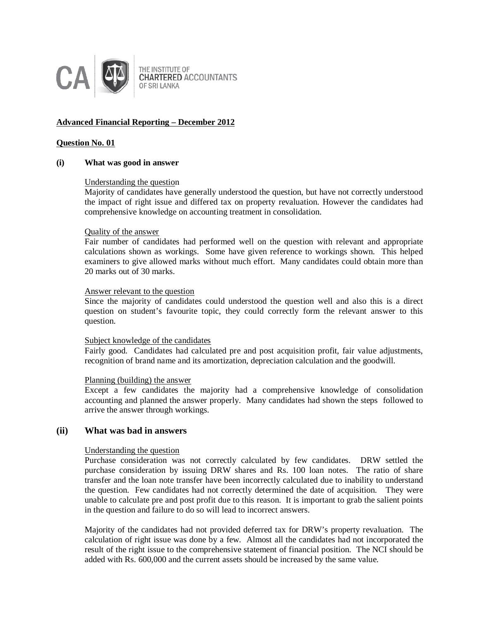

# **Advanced Financial Reporting – December 2012**

## **Question No. 01**

#### **(i) What was good in answer**

## Understanding the question

Majority of candidates have generally understood the question, but have not correctly understood the impact of right issue and differed tax on property revaluation. However the candidates had comprehensive knowledge on accounting treatment in consolidation.

## Quality of the answer

Fair number of candidates had performed well on the question with relevant and appropriate calculations shown as workings. Some have given reference to workings shown. This helped examiners to give allowed marks without much effort. Many candidates could obtain more than 20 marks out of 30 marks.

#### Answer relevant to the question

Since the majority of candidates could understood the question well and also this is a direct question on student's favourite topic, they could correctly form the relevant answer to this question.

#### Subject knowledge of the candidates

Fairly good. Candidates had calculated pre and post acquisition profit, fair value adjustments, recognition of brand name and its amortization, depreciation calculation and the goodwill.

#### Planning (building) the answer

Except a few candidates the majority had a comprehensive knowledge of consolidation accounting and planned the answer properly. Many candidates had shown the steps followed to arrive the answer through workings.

# **(ii) What was bad in answers**

# Understanding the question

Purchase consideration was not correctly calculated by few candidates. DRW settled the purchase consideration by issuing DRW shares and Rs. 100 loan notes. The ratio of share transfer and the loan note transfer have been incorrectly calculated due to inability to understand the question. Few candidates had not correctly determined the date of acquisition. They were unable to calculate pre and post profit due to this reason. It is important to grab the salient points in the question and failure to do so will lead to incorrect answers.

Majority of the candidates had not provided deferred tax for DRW's property revaluation. The calculation of right issue was done by a few. Almost all the candidates had not incorporated the result of the right issue to the comprehensive statement of financial position. The NCI should be added with Rs. 600,000 and the current assets should be increased by the same value.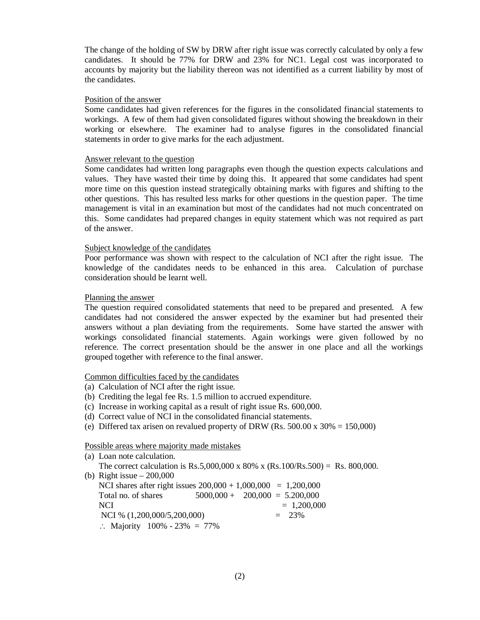The change of the holding of SW by DRW after right issue was correctly calculated by only a few candidates. It should be 77% for DRW and 23% for NC1. Legal cost was incorporated to accounts by majority but the liability thereon was not identified as a current liability by most of the candidates.

#### Position of the answer

Some candidates had given references for the figures in the consolidated financial statements to workings. A few of them had given consolidated figures without showing the breakdown in their working or elsewhere. The examiner had to analyse figures in the consolidated financial statements in order to give marks for the each adjustment.

## Answer relevant to the question

Some candidates had written long paragraphs even though the question expects calculations and values. They have wasted their time by doing this. It appeared that some candidates had spent more time on this question instead strategically obtaining marks with figures and shifting to the other questions. This has resulted less marks for other questions in the question paper. The time management is vital in an examination but most of the candidates had not much concentrated on this. Some candidates had prepared changes in equity statement which was not required as part of the answer.

#### Subject knowledge of the candidates

Poor performance was shown with respect to the calculation of NCI after the right issue. The knowledge of the candidates needs to be enhanced in this area. Calculation of purchase consideration should be learnt well.

#### Planning the answer

The question required consolidated statements that need to be prepared and presented. A few candidates had not considered the answer expected by the examiner but had presented their answers without a plan deviating from the requirements. Some have started the answer with workings consolidated financial statements. Again workings were given followed by no reference. The correct presentation should be the answer in one place and all the workings grouped together with reference to the final answer.

## Common difficulties faced by the candidates

- (a) Calculation of NCI after the right issue.
- (b) Crediting the legal fee Rs. 1.5 million to accrued expenditure.
- (c) Increase in working capital as a result of right issue Rs. 600,000.
- (d) Correct value of NCI in the consolidated financial statements.
- (e) Differed tax arisen on revalued property of DRW (Rs. 500.00 x  $30\% = 150,000$ )

#### Possible areas where majority made mistakes

| (a) Loan note calculation.                                                     |                                  |               |  |
|--------------------------------------------------------------------------------|----------------------------------|---------------|--|
| The correct calculation is Rs.5,000,000 x 80% x (Rs.100/Rs.500) = Rs. 800,000. |                                  |               |  |
| (b) Right issue $-200,000$                                                     |                                  |               |  |
| NCI shares after right issues $200,000 + 1,000,000 = 1,200,000$                |                                  |               |  |
| Total no. of shares                                                            | $5000,000 + 200,000 = 5.200,000$ |               |  |
| <b>NCI</b>                                                                     |                                  | $= 1,200,000$ |  |
| NCI % (1,200,000/5,200,000)                                                    |                                  | $= 23\%$      |  |
| : Majority $100\% - 23\% = 77\%$                                               |                                  |               |  |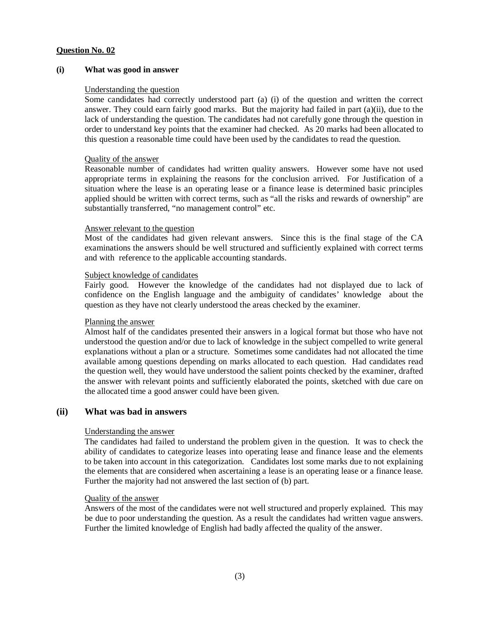## **(i) What was good in answer**

## Understanding the question

Some candidates had correctly understood part (a) (i) of the question and written the correct answer. They could earn fairly good marks. But the majority had failed in part  $(a)(ii)$ , due to the lack of understanding the question. The candidates had not carefully gone through the question in order to understand key points that the examiner had checked. As 20 marks had been allocated to this question a reasonable time could have been used by the candidates to read the question.

## Quality of the answer

Reasonable number of candidates had written quality answers. However some have not used appropriate terms in explaining the reasons for the conclusion arrived. For Justification of a situation where the lease is an operating lease or a finance lease is determined basic principles applied should be written with correct terms, such as "all the risks and rewards of ownership" are substantially transferred, "no management control" etc.

## Answer relevant to the question

Most of the candidates had given relevant answers. Since this is the final stage of the CA examinations the answers should be well structured and sufficiently explained with correct terms and with reference to the applicable accounting standards.

## Subject knowledge of candidates

Fairly good. However the knowledge of the candidates had not displayed due to lack of confidence on the English language and the ambiguity of candidates' knowledge about the question as they have not clearly understood the areas checked by the examiner.

# Planning the answer

Almost half of the candidates presented their answers in a logical format but those who have not understood the question and/or due to lack of knowledge in the subject compelled to write general explanations without a plan or a structure. Sometimes some candidates had not allocated the time available among questions depending on marks allocated to each question. Had candidates read the question well, they would have understood the salient points checked by the examiner, drafted the answer with relevant points and sufficiently elaborated the points, sketched with due care on the allocated time a good answer could have been given.

# **(ii) What was bad in answers**

# Understanding the answer

The candidates had failed to understand the problem given in the question. It was to check the ability of candidates to categorize leases into operating lease and finance lease and the elements to be taken into account in this categorization. Candidates lost some marks due to not explaining the elements that are considered when ascertaining a lease is an operating lease or a finance lease. Further the majority had not answered the last section of (b) part.

#### Quality of the answer

Answers of the most of the candidates were not well structured and properly explained. This may be due to poor understanding the question. As a result the candidates had written vague answers. Further the limited knowledge of English had badly affected the quality of the answer.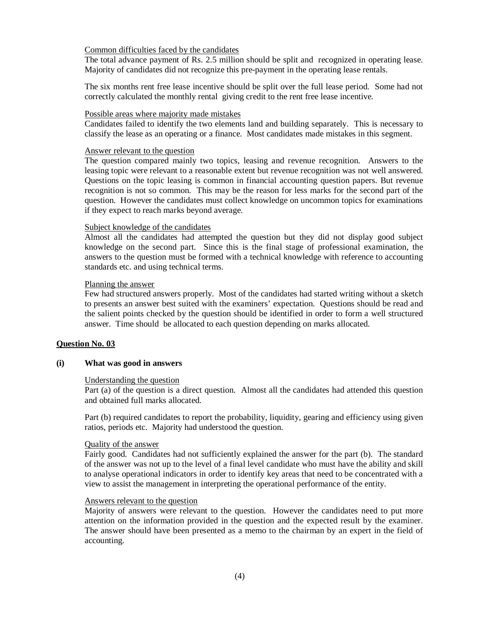#### Common difficulties faced by the candidates

The total advance payment of Rs. 2.5 million should be split and recognized in operating lease. Majority of candidates did not recognize this pre-payment in the operating lease rentals.

The six months rent free lease incentive should be split over the full lease period. Some had not correctly calculated the monthly rental giving credit to the rent free lease incentive.

#### Possible areas where majority made mistakes

Candidates failed to identify the two elements land and building separately. This is necessary to classify the lease as an operating or a finance. Most candidates made mistakes in this segment.

#### Answer relevant to the question

The question compared mainly two topics, leasing and revenue recognition. Answers to the leasing topic were relevant to a reasonable extent but revenue recognition was not well answered. Questions on the topic leasing is common in financial accounting question papers. But revenue recognition is not so common. This may be the reason for less marks for the second part of the question. However the candidates must collect knowledge on uncommon topics for examinations if they expect to reach marks beyond average.

#### Subject knowledge of the candidates

Almost all the candidates had attempted the question but they did not display good subject knowledge on the second part. Since this is the final stage of professional examination, the answers to the question must be formed with a technical knowledge with reference to accounting standards etc. and using technical terms.

## Planning the answer

Few had structured answers properly. Most of the candidates had started writing without a sketch to presents an answer best suited with the examiners' expectation. Questions should be read and the salient points checked by the question should be identified in order to form a well structured answer. Time should be allocated to each question depending on marks allocated.

#### **Question No. 03**

#### **(i) What was good in answers**

#### Understanding the question

Part (a) of the question is a direct question. Almost all the candidates had attended this question and obtained full marks allocated.

Part (b) required candidates to report the probability, liquidity, gearing and efficiency using given ratios, periods etc. Majority had understood the question.

#### Quality of the answer

Fairly good. Candidates had not sufficiently explained the answer for the part (b). The standard of the answer was not up to the level of a final level candidate who must have the ability and skill to analyse operational indicators in order to identify key areas that need to be concentrated with a view to assist the management in interpreting the operational performance of the entity.

#### Answers relevant to the question

Majority of answers were relevant to the question. However the candidates need to put more attention on the information provided in the question and the expected result by the examiner. The answer should have been presented as a memo to the chairman by an expert in the field of accounting.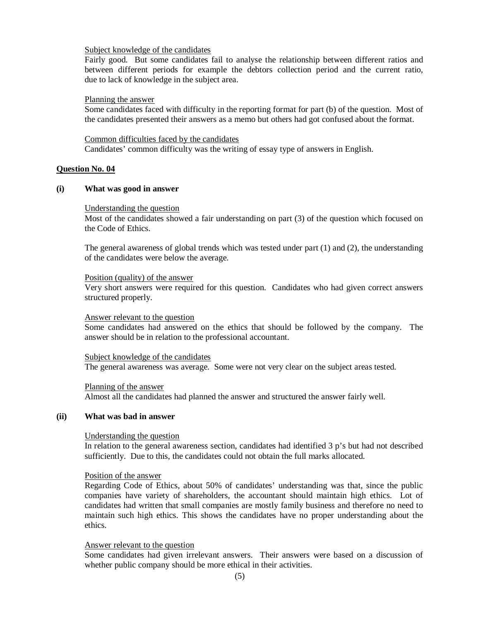#### Subject knowledge of the candidates

Fairly good. But some candidates fail to analyse the relationship between different ratios and between different periods for example the debtors collection period and the current ratio, due to lack of knowledge in the subject area.

#### Planning the answer

Some candidates faced with difficulty in the reporting format for part (b) of the question. Most of the candidates presented their answers as a memo but others had got confused about the format.

Common difficulties faced by the candidates Candidates' common difficulty was the writing of essay type of answers in English.

#### **Question No. 04**

#### **(i) What was good in answer**

#### Understanding the question

Most of the candidates showed a fair understanding on part (3) of the question which focused on the Code of Ethics.

The general awareness of global trends which was tested under part (1) and (2), the understanding of the candidates were below the average.

#### Position (quality) of the answer

Very short answers were required for this question. Candidates who had given correct answers structured properly.

#### Answer relevant to the question

Some candidates had answered on the ethics that should be followed by the company. The answer should be in relation to the professional accountant.

#### Subject knowledge of the candidates The general awareness was average. Some were not very clear on the subject areas tested.

Planning of the answer Almost all the candidates had planned the answer and structured the answer fairly well.

#### **(ii) What was bad in answer**

#### Understanding the question

In relation to the general awareness section, candidates had identified 3 p's but had not described sufficiently. Due to this, the candidates could not obtain the full marks allocated.

#### Position of the answer

Regarding Code of Ethics, about 50% of candidates' understanding was that, since the public companies have variety of shareholders, the accountant should maintain high ethics. Lot of candidates had written that small companies are mostly family business and therefore no need to maintain such high ethics. This shows the candidates have no proper understanding about the ethics.

## Answer relevant to the question

Some candidates had given irrelevant answers. Their answers were based on a discussion of whether public company should be more ethical in their activities.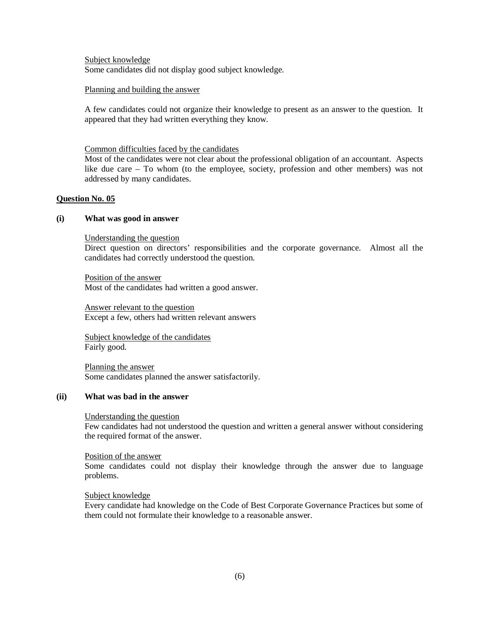Subject knowledge Some candidates did not display good subject knowledge.

## Planning and building the answer

A few candidates could not organize their knowledge to present as an answer to the question. It appeared that they had written everything they know.

## Common difficulties faced by the candidates

Most of the candidates were not clear about the professional obligation of an accountant. Aspects like due care – To whom (to the employee, society, profession and other members) was not addressed by many candidates.

# **Question No. 05**

## **(i) What was good in answer**

Understanding the question

Direct question on directors' responsibilities and the corporate governance. Almost all the candidates had correctly understood the question.

Position of the answer Most of the candidates had written a good answer.

Answer relevant to the question Except a few, others had written relevant answers

Subject knowledge of the candidates Fairly good.

Planning the answer Some candidates planned the answer satisfactorily.

#### **(ii) What was bad in the answer**

#### Understanding the question

Few candidates had not understood the question and written a general answer without considering the required format of the answer.

# Position of the answer

Some candidates could not display their knowledge through the answer due to language problems.

#### Subject knowledge

Every candidate had knowledge on the Code of Best Corporate Governance Practices but some of them could not formulate their knowledge to a reasonable answer.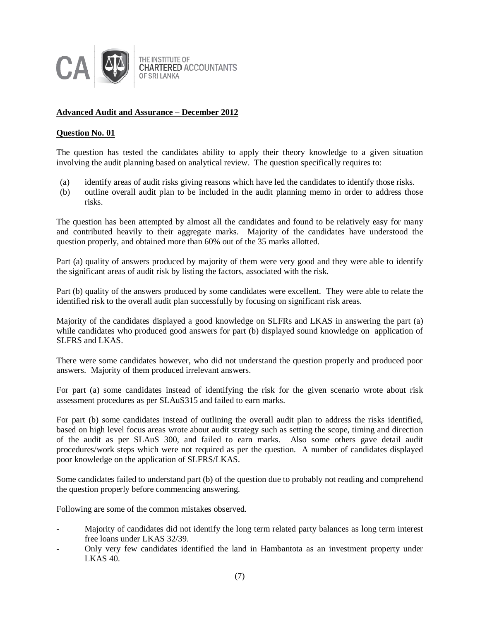

# **Advanced Audit and Assurance – December 2012**

# **Question No. 01**

The question has tested the candidates ability to apply their theory knowledge to a given situation involving the audit planning based on analytical review. The question specifically requires to:

- (a) identify areas of audit risks giving reasons which have led the candidates to identify those risks.
- (b) outline overall audit plan to be included in the audit planning memo in order to address those risks.

The question has been attempted by almost all the candidates and found to be relatively easy for many and contributed heavily to their aggregate marks. Majority of the candidates have understood the question properly, and obtained more than 60% out of the 35 marks allotted.

Part (a) quality of answers produced by majority of them were very good and they were able to identify the significant areas of audit risk by listing the factors, associated with the risk.

Part (b) quality of the answers produced by some candidates were excellent. They were able to relate the identified risk to the overall audit plan successfully by focusing on significant risk areas.

Majority of the candidates displayed a good knowledge on SLFRs and LKAS in answering the part (a) while candidates who produced good answers for part (b) displayed sound knowledge on application of SLFRS and LKAS.

There were some candidates however, who did not understand the question properly and produced poor answers. Majority of them produced irrelevant answers.

For part (a) some candidates instead of identifying the risk for the given scenario wrote about risk assessment procedures as per SLAuS315 and failed to earn marks.

For part (b) some candidates instead of outlining the overall audit plan to address the risks identified, based on high level focus areas wrote about audit strategy such as setting the scope, timing and direction of the audit as per SLAuS 300, and failed to earn marks. Also some others gave detail audit procedures/work steps which were not required as per the question. A number of candidates displayed poor knowledge on the application of SLFRS/LKAS.

Some candidates failed to understand part (b) of the question due to probably not reading and comprehend the question properly before commencing answering.

Following are some of the common mistakes observed.

- Majority of candidates did not identify the long term related party balances as long term interest free loans under LKAS 32/39.
- Only very few candidates identified the land in Hambantota as an investment property under LKAS 40.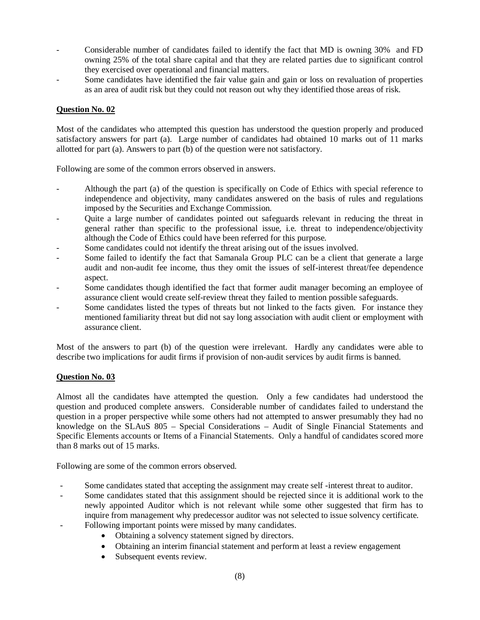- Considerable number of candidates failed to identify the fact that MD is owning 30% and FD owning 25% of the total share capital and that they are related parties due to significant control they exercised over operational and financial matters.
- Some candidates have identified the fair value gain and gain or loss on revaluation of properties as an area of audit risk but they could not reason out why they identified those areas of risk.

Most of the candidates who attempted this question has understood the question properly and produced satisfactory answers for part (a). Large number of candidates had obtained 10 marks out of 11 marks allotted for part (a). Answers to part (b) of the question were not satisfactory.

Following are some of the common errors observed in answers.

- Although the part (a) of the question is specifically on Code of Ethics with special reference to independence and objectivity, many candidates answered on the basis of rules and regulations imposed by the Securities and Exchange Commission.
- Quite a large number of candidates pointed out safeguards relevant in reducing the threat in general rather than specific to the professional issue, i.e. threat to independence/objectivity although the Code of Ethics could have been referred for this purpose.
- Some candidates could not identify the threat arising out of the issues involved.
- Some failed to identify the fact that Samanala Group PLC can be a client that generate a large audit and non-audit fee income, thus they omit the issues of self-interest threat/fee dependence aspect.
- Some candidates though identified the fact that former audit manager becoming an employee of assurance client would create self-review threat they failed to mention possible safeguards.
- Some candidates listed the types of threats but not linked to the facts given. For instance they mentioned familiarity threat but did not say long association with audit client or employment with assurance client.

Most of the answers to part (b) of the question were irrelevant. Hardly any candidates were able to describe two implications for audit firms if provision of non-audit services by audit firms is banned.

# **Question No. 03**

Almost all the candidates have attempted the question. Only a few candidates had understood the question and produced complete answers. Considerable number of candidates failed to understand the question in a proper perspective while some others had not attempted to answer presumably they had no knowledge on the SLAuS 805 – Special Considerations – Audit of Single Financial Statements and Specific Elements accounts or Items of a Financial Statements. Only a handful of candidates scored more than 8 marks out of 15 marks.

Following are some of the common errors observed.

- Some candidates stated that accepting the assignment may create self -interest threat to auditor.
- Some candidates stated that this assignment should be rejected since it is additional work to the newly appointed Auditor which is not relevant while some other suggested that firm has to inquire from management why predecessor auditor was not selected to issue solvency certificate.
- Following important points were missed by many candidates.
	- Obtaining a solvency statement signed by directors.
	- Obtaining an interim financial statement and perform at least a review engagement
	- Subsequent events review.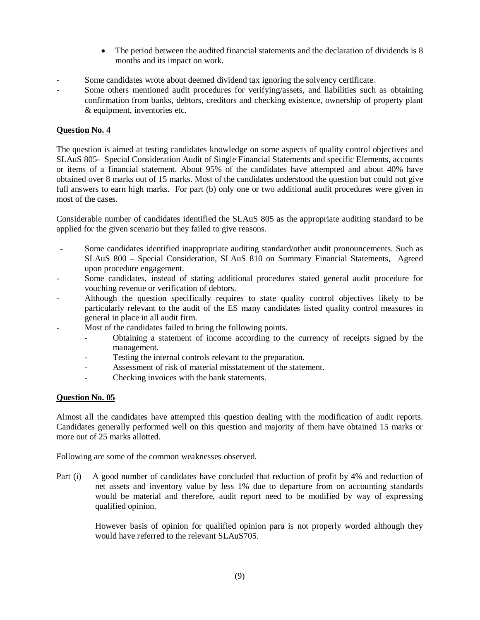- The period between the audited financial statements and the declaration of dividends is 8 months and its impact on work.
- Some candidates wrote about deemed dividend tax ignoring the solvency certificate.
- Some others mentioned audit procedures for verifying/assets, and liabilities such as obtaining confirmation from banks, debtors, creditors and checking existence, ownership of property plant & equipment, inventories etc.

The question is aimed at testing candidates knowledge on some aspects of quality control objectives and SLAuS 805- Special Consideration Audit of Single Financial Statements and specific Elements, accounts or items of a financial statement. About 95% of the candidates have attempted and about 40% have obtained over 8 marks out of 15 marks. Most of the candidates understood the question but could not give full answers to earn high marks. For part (b) only one or two additional audit procedures were given in most of the cases.

Considerable number of candidates identified the SLAuS 805 as the appropriate auditing standard to be applied for the given scenario but they failed to give reasons.

- Some candidates identified inappropriate auditing standard/other audit pronouncements. Such as SLAuS 800 – Special Consideration, SLAuS 810 on Summary Financial Statements, Agreed upon procedure engagement.
- Some candidates, instead of stating additional procedures stated general audit procedure for vouching revenue or verification of debtors.
- Although the question specifically requires to state quality control objectives likely to be particularly relevant to the audit of the ES many candidates listed quality control measures in general in place in all audit firm.
- Most of the candidates failed to bring the following points.
	- Obtaining a statement of income according to the currency of receipts signed by the management.
	- Testing the internal controls relevant to the preparation.
	- Assessment of risk of material misstatement of the statement.
	- Checking invoices with the bank statements.

# **Question No. 05**

Almost all the candidates have attempted this question dealing with the modification of audit reports. Candidates generally performed well on this question and majority of them have obtained 15 marks or more out of 25 marks allotted.

Following are some of the common weaknesses observed.

Part (i) A good number of candidates have concluded that reduction of profit by 4% and reduction of net assets and inventory value by less 1% due to departure from on accounting standards would be material and therefore, audit report need to be modified by way of expressing qualified opinion.

> However basis of opinion for qualified opinion para is not properly worded although they would have referred to the relevant SLAuS705.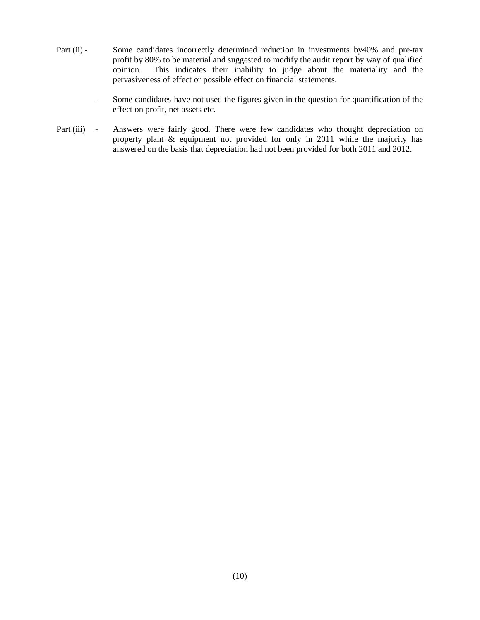- Part (ii) Some candidates incorrectly determined reduction in investments by40% and pre-tax profit by 80% to be material and suggested to modify the audit report by way of qualified opinion. This indicates their inability to judge about the materiality and the pervasiveness of effect or possible effect on financial statements.
	- Some candidates have not used the figures given in the question for quantification of the effect on profit, net assets etc.
- Part (iii) Answers were fairly good. There were few candidates who thought depreciation on property plant & equipment not provided for only in 2011 while the majority has answered on the basis that depreciation had not been provided for both 2011 and 2012.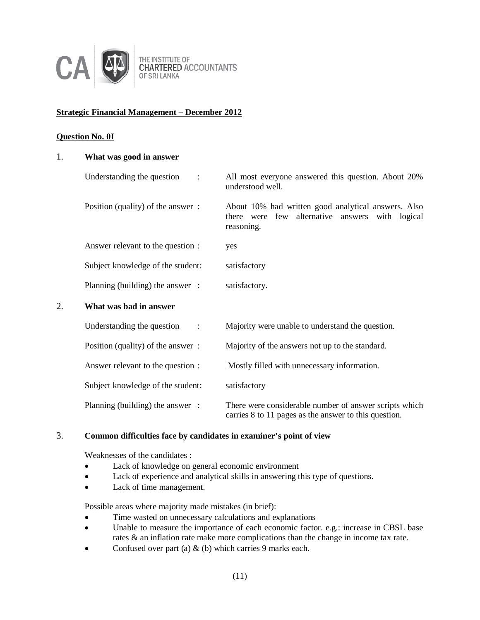

THE INSTITUTE OF **CHARTERED ACCOUNTANTS** OF SRI LANKA

# **Strategic Financial Management – December 2012**

# **Question No. 0I**

| 1. | What was good in answer                      |                                                                                                                         |
|----|----------------------------------------------|-------------------------------------------------------------------------------------------------------------------------|
|    | Understanding the question<br>$\ddot{\cdot}$ | All most everyone answered this question. About 20%<br>understood well.                                                 |
|    | Position (quality) of the answer:            | About 10% had written good analytical answers. Also<br>there were few alternative answers<br>with logical<br>reasoning. |
|    | Answer relevant to the question :            | yes                                                                                                                     |
|    | Subject knowledge of the student:            | satisfactory                                                                                                            |
|    | Planning (building) the answer :             | satisfactory.                                                                                                           |
| 2. | What was bad in answer                       |                                                                                                                         |
|    | Understanding the question<br>$\ddot{\cdot}$ | Majority were unable to understand the question.                                                                        |
|    | Position (quality) of the answer:            | Majority of the answers not up to the standard.                                                                         |
|    | Answer relevant to the question :            | Mostly filled with unnecessary information.                                                                             |
|    | Subject knowledge of the student:            | satisfactory                                                                                                            |
|    | Planning (building) the answer :             | There were considerable number of answer scripts which<br>carries 8 to 11 pages as the answer to this question.         |

# 3. **Common difficulties face by candidates in examiner's point of view**

Weaknesses of the candidates :

- Lack of knowledge on general economic environment
- Lack of experience and analytical skills in answering this type of questions.
- Lack of time management.

- Time wasted on unnecessary calculations and explanations
- Unable to measure the importance of each economic factor. e.g.: increase in CBSL base rates & an inflation rate make more complications than the change in income tax rate.
- Confused over part (a)  $\&$  (b) which carries 9 marks each.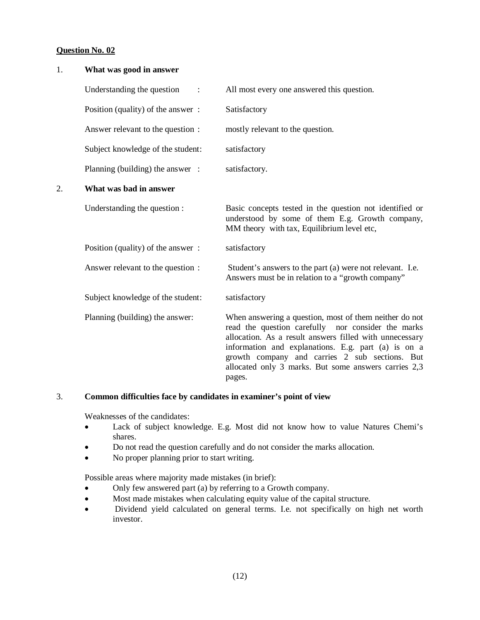| 1. | What was good in answer           |                                                                                                                                                                                                                                                                                                                                                    |
|----|-----------------------------------|----------------------------------------------------------------------------------------------------------------------------------------------------------------------------------------------------------------------------------------------------------------------------------------------------------------------------------------------------|
|    | Understanding the question        | All most every one answered this question.                                                                                                                                                                                                                                                                                                         |
|    | Position (quality) of the answer: | Satisfactory                                                                                                                                                                                                                                                                                                                                       |
|    | Answer relevant to the question : | mostly relevant to the question.                                                                                                                                                                                                                                                                                                                   |
|    | Subject knowledge of the student: | satisfactory                                                                                                                                                                                                                                                                                                                                       |
|    | Planning (building) the answer :  | satisfactory.                                                                                                                                                                                                                                                                                                                                      |
| 2. | What was bad in answer            |                                                                                                                                                                                                                                                                                                                                                    |
|    | Understanding the question :      | Basic concepts tested in the question not identified or<br>understood by some of them E.g. Growth company,<br>MM theory with tax, Equilibrium level etc,                                                                                                                                                                                           |
|    | Position (quality) of the answer: | satisfactory                                                                                                                                                                                                                                                                                                                                       |
|    | Answer relevant to the question : | Student's answers to the part (a) were not relevant. I.e.<br>Answers must be in relation to a "growth company"                                                                                                                                                                                                                                     |
|    | Subject knowledge of the student: | satisfactory                                                                                                                                                                                                                                                                                                                                       |
|    | Planning (building) the answer:   | When answering a question, most of them neither do not<br>read the question carefully nor consider the marks<br>allocation. As a result answers filled with unnecessary<br>information and explanations. E.g. part (a) is on a<br>growth company and carries 2 sub sections. But<br>allocated only 3 marks. But some answers carries 2,3<br>pages. |

# 3. **Common difficulties face by candidates in examiner's point of view**

Weaknesses of the candidates:

- Lack of subject knowledge. E.g. Most did not know how to value Natures Chemi's shares.
- Do not read the question carefully and do not consider the marks allocation.
- No proper planning prior to start writing.

- Only few answered part (a) by referring to a Growth company.
- Most made mistakes when calculating equity value of the capital structure.
- Dividend yield calculated on general terms. I.e. not specifically on high net worth investor.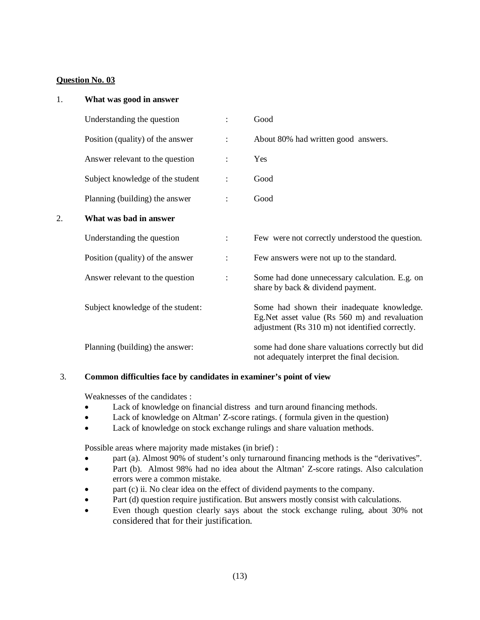| 1. | What was good in answer           |                      |                                                                                                                                                |
|----|-----------------------------------|----------------------|------------------------------------------------------------------------------------------------------------------------------------------------|
|    | Understanding the question        | $\ddot{\cdot}$       | Good                                                                                                                                           |
|    | Position (quality) of the answer  | $\ddot{\cdot}$       | About 80% had written good answers.                                                                                                            |
|    | Answer relevant to the question   |                      | Yes                                                                                                                                            |
|    | Subject knowledge of the student  |                      | Good                                                                                                                                           |
|    | Planning (building) the answer    |                      | Good                                                                                                                                           |
| 2. | What was bad in answer            |                      |                                                                                                                                                |
|    | Understanding the question        | $\ddot{\phantom{a}}$ | Few were not correctly understood the question.                                                                                                |
|    | Position (quality) of the answer  | $\ddot{\cdot}$       | Few answers were not up to the standard.                                                                                                       |
|    | Answer relevant to the question   | $\ddot{\cdot}$       | Some had done unnecessary calculation. E.g. on<br>share by back & dividend payment.                                                            |
|    | Subject knowledge of the student: |                      | Some had shown their inadequate knowledge.<br>Eg.Net asset value (Rs 560 m) and revaluation<br>adjustment (Rs 310 m) not identified correctly. |
|    | Planning (building) the answer:   |                      | some had done share valuations correctly but did<br>not adequately interpret the final decision.                                               |

# 3. **Common difficulties face by candidates in examiner's point of view**

Weaknesses of the candidates :

- Lack of knowledge on financial distress and turn around financing methods.
- Lack of knowledge on Altman' Z-score ratings. (formula given in the question)
- Lack of knowledge on stock exchange rulings and share valuation methods.

- part (a). Almost 90% of student's only turnaround financing methods is the "derivatives".
- Part (b). Almost 98% had no idea about the Altman' Z-score ratings. Also calculation errors were a common mistake.
- part (c) ii. No clear idea on the effect of dividend payments to the company.
- Part (d) question require justification. But answers mostly consist with calculations.
- Even though question clearly says about the stock exchange ruling, about 30% not considered that for their justification.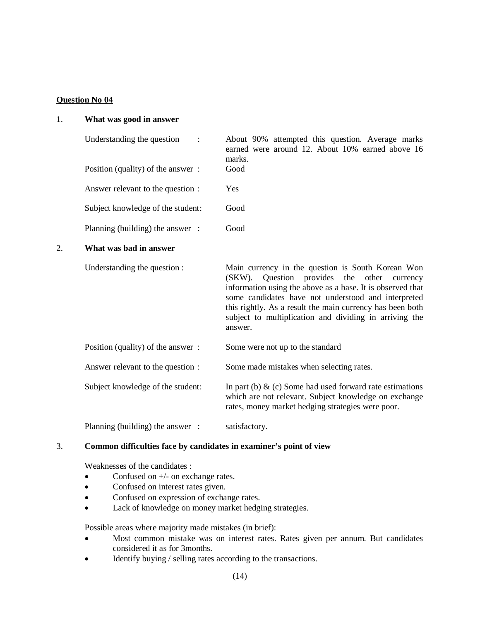#### 1. **What was good in answer**

| Understanding the question                 |  |
|--------------------------------------------|--|
| Position (quality) of the answer:          |  |
| $\Lambda$ new or relaxent to the question. |  |

About 90% attempted this question. Average marks earned were around 12. About 10% earned above 16 marks. Good

Answer relevant to the question : Yes

Subject knowledge of the student: Good

# Planning (building) the answer : Good

#### 2. **What was bad in answer**

Understanding the question : Main currency in the question is South Korean Won (SKW). Question provides the other currency information using the above as a base. It is observed that some candidates have not understood and interpreted this rightly. As a result the main currency has been both subject to multiplication and dividing in arriving the answer.

Position (quality) of the answer : Some were not up to the standard

Answer relevant to the question : Some made mistakes when selecting rates.

Subject knowledge of the student: In part (b) & (c) Some had used forward rate estimations which are not relevant. Subject knowledge on exchange rates, money market hedging strategies were poor.

Planning (building) the answer : satisfactory.

# 3. **Common difficulties face by candidates in examiner's point of view**

Weaknesses of the candidates :

- Confused on  $+/-$  on exchange rates.
- Confused on interest rates given.
- Confused on expression of exchange rates.
- Lack of knowledge on money market hedging strategies.

- Most common mistake was on interest rates. Rates given per annum. But candidates considered it as for 3months.
- Identify buying / selling rates according to the transactions.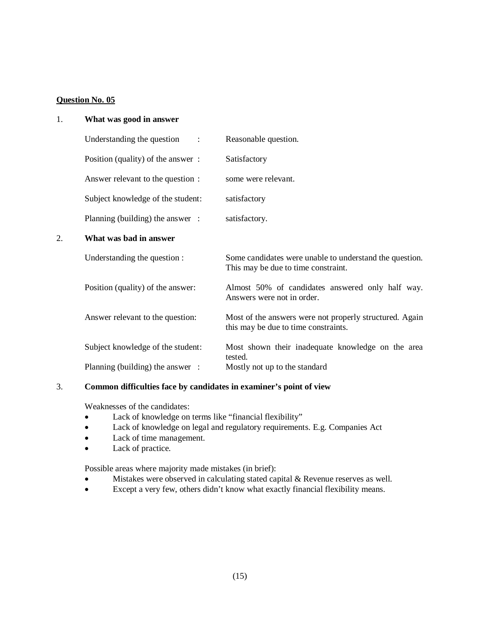# 1. **What was good in answer**

| Understanding the question<br>$\ddot{\phantom{a}}$ | Reasonable question. |
|----------------------------------------------------|----------------------|
| Position (quality) of the answer:                  | Satisfactory         |
| Answer relevant to the question :                  | some were relevant.  |
| Subject knowledge of the student:                  | satisfactory         |
| Planning (building) the answer :                   | satisfactory.        |
| What was had in answer                             |                      |
|                                                    |                      |

# 2. **What was bad in answer**

| Understanding the question :      | Some candidates were unable to understand the question.<br>This may be due to time constraint.  |
|-----------------------------------|-------------------------------------------------------------------------------------------------|
| Position (quality) of the answer: | Almost 50% of candidates answered only half way.<br>Answers were not in order.                  |
| Answer relevant to the question:  | Most of the answers were not properly structured. Again<br>this may be due to time constraints. |
| Subject knowledge of the student: | Most shown their inadequate knowledge on the area<br>tested.                                    |
| Planning (building) the answer :  | Mostly not up to the standard                                                                   |

# 3. **Common difficulties face by candidates in examiner's point of view**

Weaknesses of the candidates:

- Lack of knowledge on terms like "financial flexibility"
- Lack of knowledge on legal and regulatory requirements. E.g. Companies Act
- Lack of time management.
- Lack of practice.

- Mistakes were observed in calculating stated capital & Revenue reserves as well.
- Except a very few, others didn't know what exactly financial flexibility means.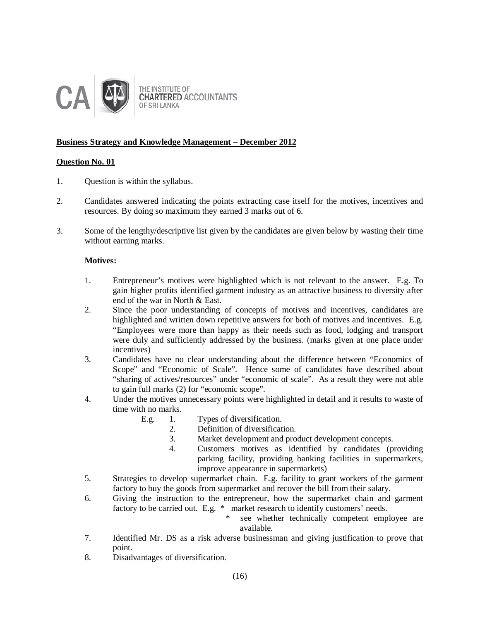

THE INSTITUTE OF **CHARTERED ACCOUNTANTS** OF SRI LANKA

# **Business Strategy and Knowledge Management – December 2012**

# **Question No. 01**

- 1. Question is within the syllabus.
- 2. Candidates answered indicating the points extracting case itself for the motives, incentives and resources. By doing so maximum they earned 3 marks out of 6.
- 3. Some of the lengthy/descriptive list given by the candidates are given below by wasting their time without earning marks.

## **Motives:**

- 1. Entrepreneur's motives were highlighted which is not relevant to the answer. E.g. To gain higher profits identified garment industry as an attractive business to diversity after end of the war in North & East.
- 2. Since the poor understanding of concepts of motives and incentives, candidates are highlighted and written down repetitive answers for both of motives and incentives. E.g. "Employees were more than happy as their needs such as food, lodging and transport were duly and sufficiently addressed by the business. (marks given at one place under incentives)
- 3. Candidates have no clear understanding about the difference between "Economics of Scope" and "Economic of Scale". Hence some of candidates have described about "sharing of actives/resources" under "economic of scale". As a result they were not able to gain full marks (2) for "economic scope".
- 4. Under the motives unnecessary points were highlighted in detail and it results to waste of time with no marks.
	- E.g. 1. Types of diversification.
		- 2. Definition of diversification.
		- 3. Market development and product development concepts.
		- 4. Customers motives as identified by candidates (providing parking facility, providing banking facilities in supermarkets, improve appearance in supermarkets)
- 5. Strategies to develop supermarket chain. E.g. facility to grant workers of the garment factory to buy the goods from supermarket and recover the bill from their salary.
- 6. Giving the instruction to the entrepreneur, how the supermarket chain and garment factory to be carried out. E.g. \* market research to identify customers' needs.
	- see whether technically competent employee are available.
- 7. Identified Mr. DS as a risk adverse businessman and giving justification to prove that point.
- 8. Disadvantages of diversification.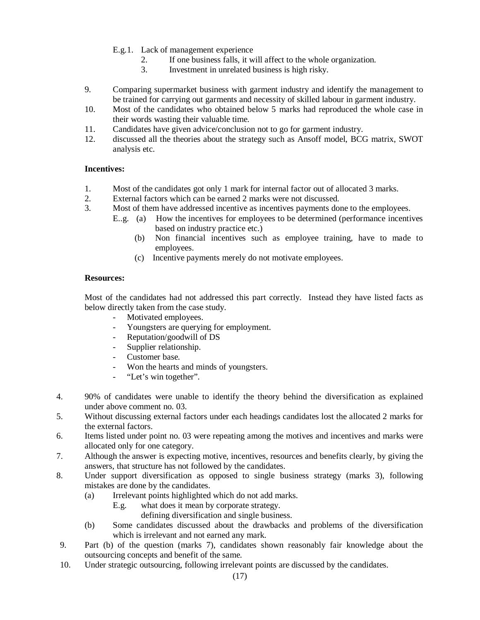- E.g.1. Lack of management experience
	- 2. If one business falls, it will affect to the whole organization.<br>3. Investment in unrelated business is high risky.
		- Investment in unrelated business is high risky.
- 9. Comparing supermarket business with garment industry and identify the management to be trained for carrying out garments and necessity of skilled labour in garment industry.
- 10. Most of the candidates who obtained below 5 marks had reproduced the whole case in their words wasting their valuable time.
- 11. Candidates have given advice/conclusion not to go for garment industry.
- 12. discussed all the theories about the strategy such as Ansoff model, BCG matrix, SWOT analysis etc.

# **Incentives:**

- 1. Most of the candidates got only 1 mark for internal factor out of allocated 3 marks.
- 2. External factors which can be earned 2 marks were not discussed.
- 3. Most of them have addressed incentive as incentives payments done to the employees.
	- E..g. (a) How the incentives for employees to be determined (performance incentives based on industry practice etc.)
		- (b) Non financial incentives such as employee training, have to made to employees.
		- (c) Incentive payments merely do not motivate employees.

# **Resources:**

Most of the candidates had not addressed this part correctly. Instead they have listed facts as below directly taken from the case study.

- Motivated employees.
- Youngsters are querying for employment.
- Reputation/goodwill of DS
- Supplier relationship.
- Customer base.
- Won the hearts and minds of youngsters.<br>- "Let's win together"
- "Let's win together".
- 4. 90% of candidates were unable to identify the theory behind the diversification as explained under above comment no. 03.
- 5. Without discussing external factors under each headings candidates lost the allocated 2 marks for the external factors.
- 6. Items listed under point no. 03 were repeating among the motives and incentives and marks were allocated only for one category.
- 7. Although the answer is expecting motive, incentives, resources and benefits clearly, by giving the answers, that structure has not followed by the candidates.
- 8. Under support diversification as opposed to single business strategy (marks 3), following mistakes are done by the candidates.
	- (a) Irrelevant points highlighted which do not add marks.
		- E.g. what does it mean by corporate strategy.
			- defining diversification and single business.
	- (b) Some candidates discussed about the drawbacks and problems of the diversification which is irrelevant and not earned any mark.
- 9. Part (b) of the question (marks 7), candidates shown reasonably fair knowledge about the outsourcing concepts and benefit of the same.
- 10. Under strategic outsourcing, following irrelevant points are discussed by the candidates.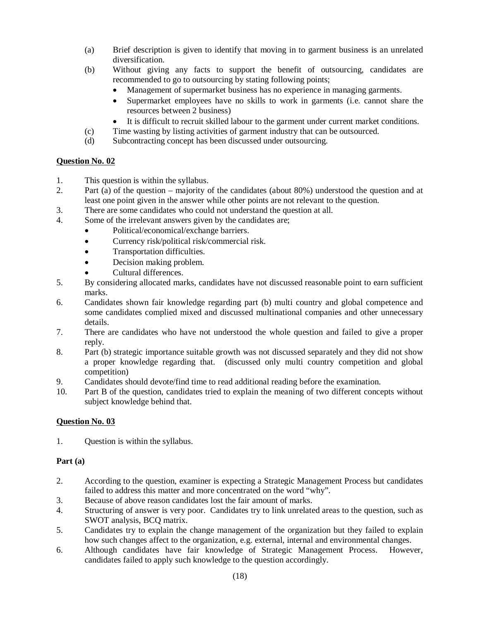- (a) Brief description is given to identify that moving in to garment business is an unrelated diversification.
- (b) Without giving any facts to support the benefit of outsourcing, candidates are recommended to go to outsourcing by stating following points;
	- Management of supermarket business has no experience in managing garments.
	- Supermarket employees have no skills to work in garments (i.e. cannot share the resources between 2 business)
	- It is difficult to recruit skilled labour to the garment under current market conditions.
- (c) Time wasting by listing activities of garment industry that can be outsourced.
- (d) Subcontracting concept has been discussed under outsourcing.

- 1. This question is within the syllabus.
- 2. Part (a) of the question majority of the candidates (about 80%) understood the question and at least one point given in the answer while other points are not relevant to the question.
- 3. There are some candidates who could not understand the question at all.
- 4. Some of the irrelevant answers given by the candidates are;
	- Political/economical/exchange barriers.
	- Currency risk/political risk/commercial risk.
	- Transportation difficulties.
	- Decision making problem.
	- Cultural differences.
- 5. By considering allocated marks, candidates have not discussed reasonable point to earn sufficient marks.
- 6. Candidates shown fair knowledge regarding part (b) multi country and global competence and some candidates complied mixed and discussed multinational companies and other unnecessary details.
- 7. There are candidates who have not understood the whole question and failed to give a proper reply.
- 8. Part (b) strategic importance suitable growth was not discussed separately and they did not show a proper knowledge regarding that. (discussed only multi country competition and global competition)
- 9. Candidates should devote/find time to read additional reading before the examination.
- 10. Part B of the question, candidates tried to explain the meaning of two different concepts without subject knowledge behind that.

# **Question No. 03**

1. Question is within the syllabus.

# **Part (a)**

- 2. According to the question, examiner is expecting a Strategic Management Process but candidates failed to address this matter and more concentrated on the word "why".
- 3. Because of above reason candidates lost the fair amount of marks.
- 4. Structuring of answer is very poor. Candidates try to link unrelated areas to the question, such as SWOT analysis, BCQ matrix.
- 5. Candidates try to explain the change management of the organization but they failed to explain how such changes affect to the organization, e.g. external, internal and environmental changes.
- 6. Although candidates have fair knowledge of Strategic Management Process. However, candidates failed to apply such knowledge to the question accordingly.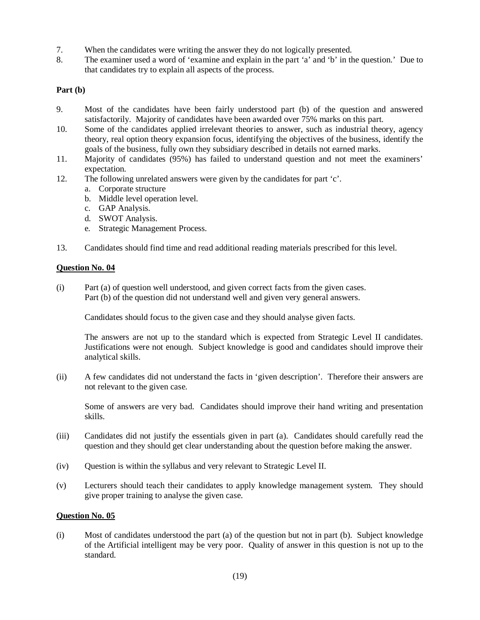- 7. When the candidates were writing the answer they do not logically presented.
- 8. The examiner used a word of 'examine and explain in the part 'a' and 'b' in the question.' Due to that candidates try to explain all aspects of the process.

# **Part (b)**

- 9. Most of the candidates have been fairly understood part (b) of the question and answered satisfactorily. Majority of candidates have been awarded over 75% marks on this part.
- 10. Some of the candidates applied irrelevant theories to answer, such as industrial theory, agency theory, real option theory expansion focus, identifying the objectives of the business, identify the goals of the business, fully own they subsidiary described in details not earned marks.
- 11. Majority of candidates (95%) has failed to understand question and not meet the examiners' expectation.
- 12. The following unrelated answers were given by the candidates for part 'c'.
	- a. Corporate structure
	- b. Middle level operation level.
	- c. GAP Analysis.
	- d. SWOT Analysis.
	- e. Strategic Management Process.
- 13. Candidates should find time and read additional reading materials prescribed for this level.

# **Question No. 04**

(i) Part (a) of question well understood, and given correct facts from the given cases. Part (b) of the question did not understand well and given very general answers.

Candidates should focus to the given case and they should analyse given facts.

The answers are not up to the standard which is expected from Strategic Level II candidates. Justifications were not enough. Subject knowledge is good and candidates should improve their analytical skills.

(ii) A few candidates did not understand the facts in 'given description'. Therefore their answers are not relevant to the given case.

Some of answers are very bad. Candidates should improve their hand writing and presentation skills.

- (iii) Candidates did not justify the essentials given in part (a). Candidates should carefully read the question and they should get clear understanding about the question before making the answer.
- (iv) Question is within the syllabus and very relevant to Strategic Level II.
- (v) Lecturers should teach their candidates to apply knowledge management system. They should give proper training to analyse the given case.

# **Question No. 05**

(i) Most of candidates understood the part (a) of the question but not in part (b). Subject knowledge of the Artificial intelligent may be very poor. Quality of answer in this question is not up to the standard.